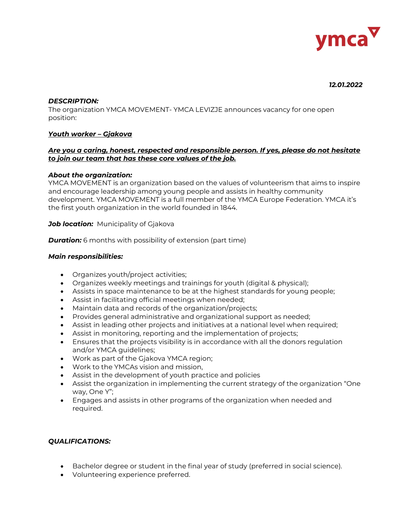

#### *12.01.2022*

### *DESCRIPTION:*

The organization YMCA MOVEMENT- YMCA LEVIZJE announces vacancy for one open position:

# *Youth worker – Gjakova*

### *Are you a caring, honest, respected and responsible person. If yes, please do not hesitate to join our team that has these core values of the job.*

#### *About the organization:*

YMCA MOVEMENT is an organization based on the values of volunteerism that aims to inspire and encourage leadership among young people and assists in healthy community development. YMCA MOVEMENT is a full member of the YMCA Europe Federation. YMCA it's the first youth organization in the world founded in 1844.

#### **Job location:** Municipality of Gjakova

**Duration:** 6 months with possibility of extension (part time)

### *Main responsibilities:*

- Organizes youth/project activities;
- Organizes weekly meetings and trainings for youth (digital & physical);
- Assists in space maintenance to be at the highest standards for young people;
- Assist in facilitating official meetings when needed;
- Maintain data and records of the organization/projects;
- Provides general administrative and organizational support as needed;
- Assist in leading other projects and initiatives at a national level when required;
- Assist in monitoring, reporting and the implementation of projects;
- Ensures that the projects visibility is in accordance with all the donors regulation and/or YMCA guidelines;
- Work as part of the Gjakova YMCA region;
- Work to the YMCAs vision and mission,
- Assist in the development of youth practice and policies
- Assist the organization in implementing the current strategy of the organization "One way, One Y";
- Engages and assists in other programs of the organization when needed and required.

# *QUALIFICATIONS:*

- Bachelor degree or student in the final year of study (preferred in social science).
- Volunteering experience preferred.